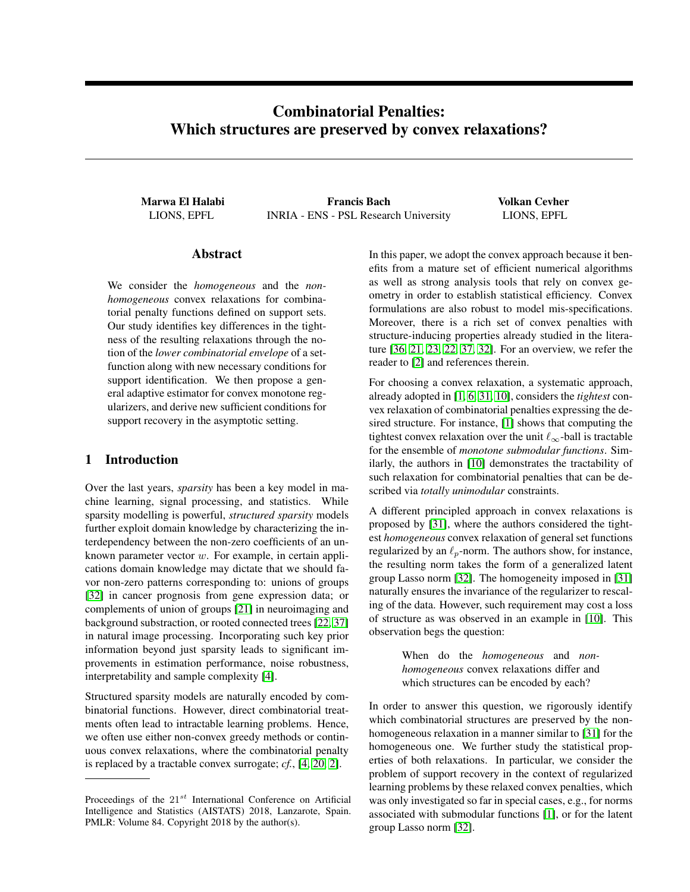# Combinatorial Penalties: Which structures are preserved by convex relaxations?

Marwa El Halabi Francis Bach Volkan Cevher LIONS, EPFL INRIA - ENS - PSL Research University LIONS, EPFL

# Abstract

We consider the *homogeneous* and the *nonhomogeneous* convex relaxations for combinatorial penalty functions defined on support sets. Our study identifies key differences in the tightness of the resulting relaxations through the notion of the *lower combinatorial envelope* of a setfunction along with new necessary conditions for support identification. We then propose a general adaptive estimator for convex monotone regularizers, and derive new sufficient conditions for support recovery in the asymptotic setting.

# 1 Introduction

Over the last years, *sparsity* has been a key model in machine learning, signal processing, and statistics. While sparsity modelling is powerful, *structured sparsity* models further exploit domain knowledge by characterizing the interdependency between the non-zero coefficients of an unknown parameter vector w. For example, in certain applications domain knowledge may dictate that we should favor non-zero patterns corresponding to: unions of groups [\[32\]](#page-9-0) in cancer prognosis from gene expression data; or complements of union of groups [\[21\]](#page-8-0) in neuroimaging and background substraction, or rooted connected trees [\[22,](#page-8-1) [37\]](#page-9-1) in natural image processing. Incorporating such key prior information beyond just sparsity leads to significant improvements in estimation performance, noise robustness, interpretability and sample complexity [\[4\]](#page-8-2).

Structured sparsity models are naturally encoded by combinatorial functions. However, direct combinatorial treatments often lead to intractable learning problems. Hence, we often use either non-convex greedy methods or continuous convex relaxations, where the combinatorial penalty is replaced by a tractable convex surrogate; *cf.*, [\[4,](#page-8-2) [20,](#page-8-3) [2\]](#page-8-4).

In this paper, we adopt the convex approach because it benefits from a mature set of efficient numerical algorithms as well as strong analysis tools that rely on convex geometry in order to establish statistical efficiency. Convex formulations are also robust to model mis-specifications. Moreover, there is a rich set of convex penalties with structure-inducing properties already studied in the literature [\[36,](#page-9-2) [21,](#page-8-0) [23,](#page-9-3) [22,](#page-8-1) [37,](#page-9-1) [32\]](#page-9-0). For an overview, we refer the reader to [\[2\]](#page-8-4) and references therein.

For choosing a convex relaxation, a systematic approach, already adopted in [\[1,](#page-8-5) [6,](#page-8-6) [31,](#page-9-4) [10\]](#page-8-7), considers the *tightest* convex relaxation of combinatorial penalties expressing the desired structure. For instance, [\[1\]](#page-8-5) shows that computing the tightest convex relaxation over the unit  $\ell_{\infty}$ -ball is tractable for the ensemble of *monotone submodular functions*. Similarly, the authors in [\[10\]](#page-8-7) demonstrates the tractability of such relaxation for combinatorial penalties that can be described via *totally unimodular* constraints.

A different principled approach in convex relaxations is proposed by [\[31\]](#page-9-4), where the authors considered the tightest *homogeneous* convex relaxation of general set functions regularized by an  $\ell_p$ -norm. The authors show, for instance, the resulting norm takes the form of a generalized latent group Lasso norm [\[32\]](#page-9-0). The homogeneity imposed in [\[31\]](#page-9-4) naturally ensures the invariance of the regularizer to rescaling of the data. However, such requirement may cost a loss of structure as was observed in an example in [\[10\]](#page-8-7). This observation begs the question:

> When do the *homogeneous* and *nonhomogeneous* convex relaxations differ and which structures can be encoded by each?

In order to answer this question, we rigorously identify which combinatorial structures are preserved by the nonhomogeneous relaxation in a manner similar to [\[31\]](#page-9-4) for the homogeneous one. We further study the statistical properties of both relaxations. In particular, we consider the problem of support recovery in the context of regularized learning problems by these relaxed convex penalties, which was only investigated so far in special cases, e.g., for norms associated with submodular functions [\[1\]](#page-8-5), or for the latent group Lasso norm [\[32\]](#page-9-0).

Proceedings of the  $21^{st}$  International Conference on Artificial Intelligence and Statistics (AISTATS) 2018, Lanzarote, Spain. PMLR: Volume 84. Copyright 2018 by the author(s).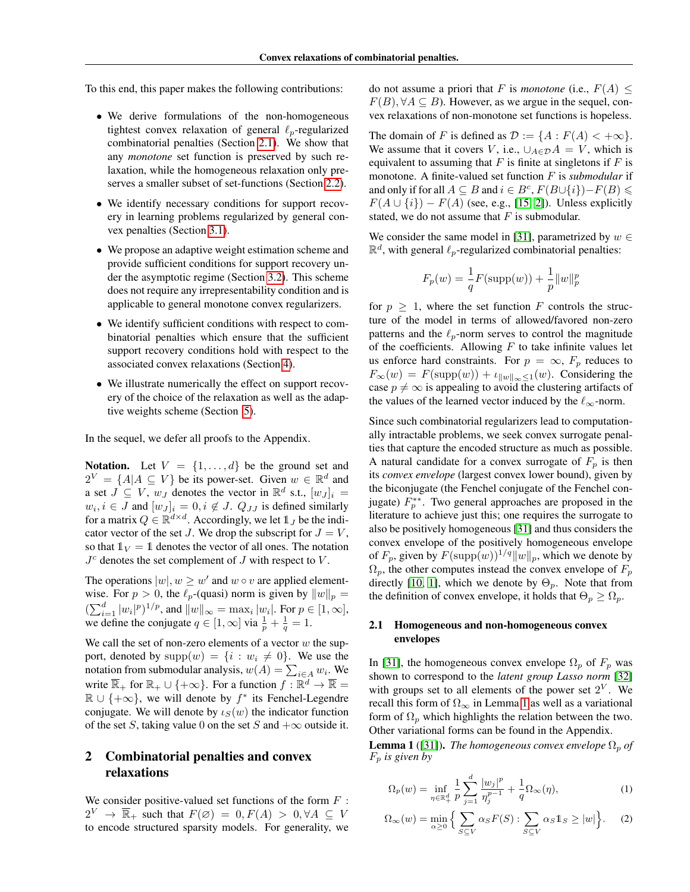To this end, this paper makes the following contributions:

- We derive formulations of the non-homogeneous tightest convex relaxation of general  $\ell_p$ -regularized combinatorial penalties (Section [2.1\)](#page-1-0). We show that any *monotone* set function is preserved by such relaxation, while the homogeneous relaxation only preserves a smaller subset of set-functions (Section [2.2\)](#page-2-0).
- We identify necessary conditions for support recovery in learning problems regularized by general convex penalties (Section [3.1\)](#page-4-0).
- We propose an adaptive weight estimation scheme and provide sufficient conditions for support recovery under the asymptotic regime (Section [3.2\)](#page-5-0). This scheme does not require any irrepresentability condition and is applicable to general monotone convex regularizers.
- We identify sufficient conditions with respect to combinatorial penalties which ensure that the sufficient support recovery conditions hold with respect to the associated convex relaxations (Section [4\)](#page-5-1).
- We illustrate numerically the effect on support recovery of the choice of the relaxation as well as the adaptive weights scheme (Section [5\)](#page-7-0).

In the sequel, we defer all proofs to the Appendix.

**Notation.** Let  $V = \{1, \ldots, d\}$  be the ground set and  $2^V = \{A | A \subseteq V\}$  be its power-set. Given  $w \in \mathbb{R}^d$  and a set  $\overline{J} \subseteq V$ ,  $w_J$  denotes the vector in  $\mathbb{R}^d$  s.t.,  $[w_J]_i =$  $w_i, i \in J$  and  $[w_J]_i = 0, i \notin J$ .  $Q_{JJ}$  is defined similarly for a matrix  $Q \in \mathbb{R}^{d \times d}$ . Accordingly, we let  $\mathbb{1}_J$  be the indicator vector of the set J. We drop the subscript for  $J = V$ , so that  $\mathbb{1}_V = \mathbb{1}$  denotes the vector of all ones. The notation  $J<sup>c</sup>$  denotes the set complement of  $J$  with respect to  $V$ .

The operations  $|w|, w \geq w'$  and  $w \circ v$  are applied elementwise. For  $p > 0$ , the  $\ell_p$ -(quasi) norm is given by  $||w||_p =$  $(\sum_{i=1}^d |w_i|^p)^{1/p}$ , and  $||w||_{\infty} = \max_i |w_i|$ . For  $p \in [1, \infty]$ , we define the conjugate  $q \in [1, \infty]$  via  $\frac{1}{p} + \frac{1}{q} = 1$ .

We call the set of non-zero elements of a vector  $w$  the support, denoted by  $supp(w) = \{i : w_i \neq 0\}$ . We use the notation from submodular analysis,  $w(A) = \sum_{i \in A} w_i$ . We write  $\overline{\mathbb{R}}_+$  for  $\mathbb{R}_+ \cup \{+\infty\}$ . For a function  $f : \mathbb{R}^d \to \overline{\mathbb{R}} =$  $\mathbb{R} \cup \{+\infty\}$ , we will denote by  $f^*$  its Fenchel-Legendre conjugate. We will denote by  $\iota_S(w)$  the indicator function of the set S, taking value 0 on the set S and  $+\infty$  outside it.

# 2 Combinatorial penalties and convex relaxations

We consider positive-valued set functions of the form  $F$ :  $2^V \rightarrow \overline{\mathbb{R}}_+$  such that  $F(\emptyset) = 0, F(A) > 0, \forall A \subseteq V$ to encode structured sparsity models. For generality, we do not assume a priori that F is *monotone* (i.e.,  $F(A)$  <  $F(B), \forall A \subseteq B$ ). However, as we argue in the sequel, convex relaxations of non-monotone set functions is hopeless.

The domain of F is defined as  $\mathcal{D} := \{A : F(A) < +\infty\}.$ We assume that it covers V, i.e.,  $\bigcup_{A \in \mathcal{D}} A = V$ , which is equivalent to assuming that  $F$  is finite at singletons if  $F$  is monotone. A finite-valued set function F is *submodular* if and only if for all  $A \subseteq B$  and  $i \in B^c$ ,  $F(B \cup \{i\}) - F(B) \le$  $F(A \cup \{i\}) - F(A)$  (see, e.g., [\[15,](#page-8-8) [2\]](#page-8-4)). Unless explicitly stated, we do not assume that  $F$  is submodular.

We consider the same model in [\[31\]](#page-9-4), parametrized by  $w \in$  $\mathbb{R}^d$ , with general  $\ell_p$ -regularized combinatorial penalties:

$$
F_p(w) = \frac{1}{q}F(\text{supp}(w)) + \frac{1}{p}||w||_p^p
$$

for  $p \geq 1$ , where the set function F controls the structure of the model in terms of allowed/favored non-zero patterns and the  $\ell_p$ -norm serves to control the magnitude of the coefficients. Allowing  $F$  to take infinite values let us enforce hard constraints. For  $p = \infty$ ,  $F_p$  reduces to  $F_{\infty}(w) = F(\text{supp}(w)) + \iota_{\|w\|_{\infty} \leq 1}(w)$ . Considering the case  $p \neq \infty$  is appealing to avoid the clustering artifacts of the values of the learned vector induced by the  $\ell_{\infty}$ -norm.

Since such combinatorial regularizers lead to computationally intractable problems, we seek convex surrogate penalties that capture the encoded structure as much as possible. A natural candidate for a convex surrogate of  $F_p$  is then its *convex envelope* (largest convex lower bound), given by the biconjugate (the Fenchel conjugate of the Fenchel conjugate)  $F_p^{**}$ . Two general approaches are proposed in the literature to achieve just this; one requires the surrogate to also be positively homogeneous [\[31\]](#page-9-4) and thus considers the convex envelope of the positively homogeneous envelope of  $F_p$ , given by  $F(\text{supp}(w))^{1/q}||w||_p$ , which we denote by  $\Omega_p$ , the other computes instead the convex envelope of  $F_p$ directly [\[10,](#page-8-7) [1\]](#page-8-5), which we denote by  $\Theta_p$ . Note that from the definition of convex envelope, it holds that  $\Theta_p \geq \Omega_p$ .

### <span id="page-1-0"></span>2.1 Homogeneous and non-homogeneous convex envelopes

In [\[31\]](#page-9-4), the homogeneous convex envelope  $\Omega_p$  of  $F_p$  was shown to correspond to the *latent group Lasso norm* [\[32\]](#page-9-0) with groups set to all elements of the power set  $2^V$ . We recall this form of  $\Omega_{\infty}$  in Lemma [1](#page-1-1) as well as a variational form of  $\Omega_p$  which highlights the relation between the two. Other variational forms can be found in the Appendix.

<span id="page-1-1"></span>**Lemma 1** ([\[31\]](#page-9-4)). *The homogeneous convex envelope*  $\Omega_p$  *of* F<sup>p</sup> *is given by*

<span id="page-1-3"></span><span id="page-1-2"></span>
$$
\Omega_p(w) = \inf_{\eta \in \mathbb{R}_+^d} \frac{1}{p} \sum_{j=1}^d \frac{|w_j|^p}{\eta_j^{p-1}} + \frac{1}{q} \Omega_\infty(\eta),\tag{1}
$$

$$
\Omega_{\infty}(w) = \min_{\alpha \ge 0} \Big\{ \sum_{S \subseteq V} \alpha_S F(S) : \sum_{S \subseteq V} \alpha_S \mathbb{1}_S \ge |w| \Big\}. \tag{2}
$$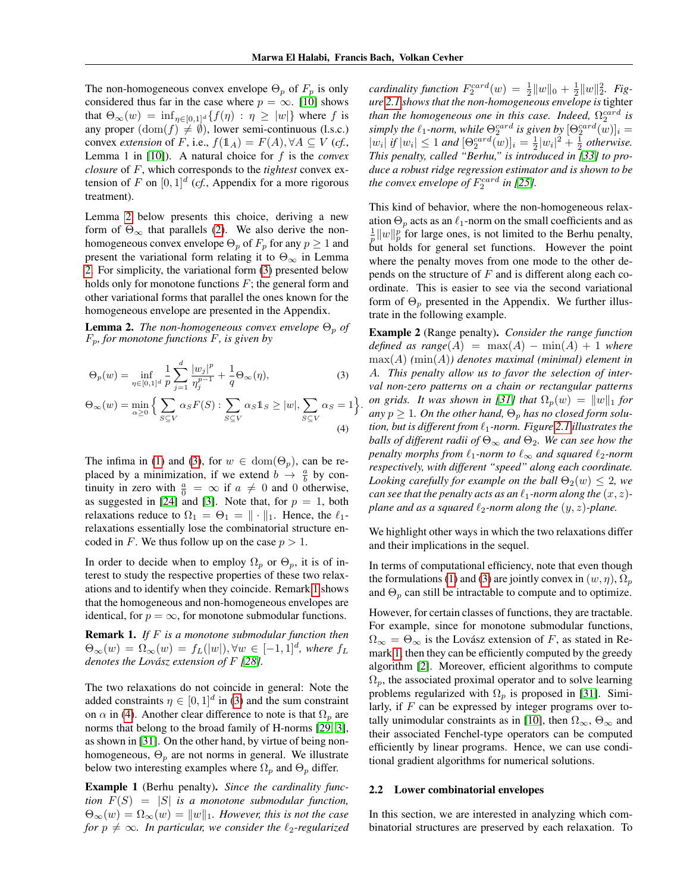The non-homogeneous convex envelope  $\Theta_p$  of  $F_p$  is only considered thus far in the case where  $p = \infty$ . [\[10\]](#page-8-7) shows that  $\Theta_{\infty}(w) = \inf_{\eta \in [0,1]^d} \{f(\eta) : \eta \geq |w|\}$  where f is any proper  $(\text{dom}(f) \neq \emptyset)$ , lower semi-continuous (l.s.c.) convex *extension* of F, i.e.,  $f(\mathbb{1}_A) = F(A), \forall A \subseteq V$  (*cf.*, Lemma 1 in [\[10\]](#page-8-7)). A natural choice for f is the *convex closure* of F, which corresponds to the *tightest* convex extension of F on  $[0,1]^d$  (cf., Appendix for a more rigorous treatment).

Lemma [2](#page-2-1) below presents this choice, deriving a new form of  $\Theta_{\infty}$  that parallels [\(2\)](#page-1-2). We also derive the nonhomogeneous convex envelope  $\Theta_p$  of  $F_p$  for any  $p \geq 1$  and present the variational form relating it to  $\Theta_{\infty}$  in Lemma [2.](#page-2-1) For simplicity, the variational form [\(3\)](#page-2-2) presented below holds only for monotone functions  $F$ ; the general form and other variational forms that parallel the ones known for the homogeneous envelope are presented in the Appendix.

<span id="page-2-1"></span>**Lemma 2.** *The non-homogeneous convex envelope*  $\Theta_p$  *of* Fp*, for monotone functions* F*, is given by*

$$
\Theta_p(w) = \inf_{\eta \in [0,1]^d} \frac{1}{p} \sum_{j=1}^d \frac{|w_j|^p}{\eta_j^{p-1}} + \frac{1}{q} \Theta_\infty(\eta),\tag{3}
$$

$$
\Theta_{\infty}(w) = \min_{\alpha \ge 0} \Big\{ \sum_{S \subseteq V} \alpha_S F(S) : \sum_{S \subseteq V} \alpha_S \mathbb{1}_S \ge |w|, \sum_{S \subseteq V} \alpha_S = 1 \Big\}.
$$
\n(4)

The infima in [\(1\)](#page-1-3) and [\(3\)](#page-2-2), for  $w \in \text{dom}(\Theta_p)$ , can be replaced by a minimization, if we extend  $b \rightarrow \frac{a}{b}$  by continuity in zero with  $\frac{a}{0} = \infty$  if  $a \neq 0$  and 0 otherwise, as suggested in [\[24\]](#page-9-5) and [\[3\]](#page-8-9). Note that, for  $p = 1$ , both relaxations reduce to  $\Omega_1 = \Theta_1 = || \cdot ||_1$ . Hence, the  $\ell_1$ relaxations essentially lose the combinatorial structure encoded in F. We thus follow up on the case  $p > 1$ .

In order to decide when to employ  $\Omega_p$  or  $\Theta_p$ , it is of interest to study the respective properties of these two relaxations and to identify when they coincide. Remark [1](#page-2-3) shows that the homogeneous and non-homogeneous envelopes are identical, for  $p = \infty$ , for monotone submodular functions.

<span id="page-2-3"></span>Remark 1. *If* F *is a monotone submodular function then*  $\Theta_{\infty}(w) = \Omega_{\infty}(w) = f_L(|w|), \forall w \in [-1,1]^d$ , where  $f_L$ *denotes the Lovász extension of* F *[\[28\]](#page-9-6).*

The two relaxations do not coincide in general: Note the added constraints  $\eta \in [0,1]^d$  in [\(3\)](#page-2-2) and the sum constraint on  $\alpha$  in [\(4\)](#page-2-4). Another clear difference to note is that  $\Omega_p$  are norms that belong to the broad family of H-norms [\[29,](#page-9-7) [3\]](#page-8-9), as shown in [\[31\]](#page-9-4). On the other hand, by virtue of being nonhomogeneous,  $\Theta_p$  are not norms in general. We illustrate below two interesting examples where  $\Omega_p$  and  $\Theta_p$  differ.

Example 1 (Berhu penalty). *Since the cardinality function*  $F(S) = |S|$  *is a monotone submodular function,*  $\Theta_{\infty}(w) = \Omega_{\infty}(w) = ||w||_1$ . However, this is not the case *for*  $p \neq \infty$ *. In particular, we consider the*  $\ell_2$ -regularized

*cardinality function*  $F_2^{card}(w) = \frac{1}{2} ||w||_0 + \frac{1}{2} ||w||_2^2$ . *Figure [2.1](#page-2-3) shows that the non-homogeneous envelope is* tighter than the homogeneous one in this case. Indeed,  $\Omega_2^{card}$  is simply the  $\ell_1$ -norm, while  $\Theta_2^{card}$  is given by  $[\Theta_2^{card}(w)]_i =$  $|w_i|$  if  $|w_i| \leq 1$  and  $[\Theta_2^{card}(w)]_i = \frac{1}{2}|w_i|^2 + \frac{1}{2}$  otherwise. *This penalty, called "Berhu," is introduced in [\[33\]](#page-9-8) to produce a robust ridge regression estimator and is shown to be the convex envelope of*  $F_2^{card}$  *in* [\[25\]](#page-9-9).

This kind of behavior, where the non-homogeneous relaxation  $\Theta_p$  acts as an  $\ell_1$ -norm on the small coefficients and as  $\frac{1}{p}||w||_p^p$  for large ones, is not limited to the Berhu penalty, but holds for general set functions. However the point where the penalty moves from one mode to the other depends on the structure of  $F$  and is different along each coordinate. This is easier to see via the second variational form of  $\Theta_p$  presented in the Appendix. We further illustrate in the following example.

<span id="page-2-5"></span><span id="page-2-4"></span><span id="page-2-2"></span>Example 2 (Range penalty). *Consider the range function defined as range*( $A$ ) =  $max(A)$  −  $min(A)$  + 1 *where* max(A) *(*min(A)*) denotes maximal (minimal) element in* A*. This penalty allow us to favor the selection of interval non-zero patterns on a chain or rectangular patterns on grids. It was shown in [\[31\]](#page-9-4) that*  $\Omega_p(w) = ||w||_1$  *for*  $any p \geq 1$ . On the other hand,  $\Theta_p$  has no closed form solu*tion, but is different from*  $\ell_1$ *-norm. Figure* [2.1](#page-2-5) *illustrates the balls of different radii of*  $\Theta_{\infty}$  *and*  $\Theta_2$ *. We can see how the penalty morphs from*  $\ell_1$ *-norm to*  $\ell_{\infty}$  *and squared*  $\ell_2$ *-norm respectively, with different "speed" along each coordinate. Looking carefully for example on the ball*  $\Theta_2(w) \leq 2$ *, we can see that the penalty acts as an*  $\ell_1$ *-norm along the*  $(x, z)$ *plane and as a squared*  $\ell_2$ *-norm along the*  $(y, z)$ *-plane.* 

We highlight other ways in which the two relaxations differ and their implications in the sequel.

In terms of computational efficiency, note that even though the formulations [\(1\)](#page-1-3) and [\(3\)](#page-2-2) are jointly convex in  $(w, \eta)$ ,  $\Omega_p$ and  $\Theta_p$  can still be intractable to compute and to optimize.

However, for certain classes of functions, they are tractable. For example, since for monotone submodular functions,  $\Omega_{\infty} = \Theta_{\infty}$  is the Lovász extension of F, as stated in Remark [1,](#page-2-3) then they can be efficiently computed by the greedy algorithm [\[2\]](#page-8-4). Moreover, efficient algorithms to compute  $\Omega_p$ , the associated proximal operator and to solve learning problems regularized with  $\Omega_p$  is proposed in [\[31\]](#page-9-4). Similarly, if F can be expressed by integer programs over to-tally unimodular constraints as in [\[10\]](#page-8-7), then  $\Omega_{\infty}$ ,  $\Theta_{\infty}$  and their associated Fenchel-type operators can be computed efficiently by linear programs. Hence, we can use conditional gradient algorithms for numerical solutions.

#### <span id="page-2-0"></span>2.2 Lower combinatorial envelopes

In this section, we are interested in analyzing which combinatorial structures are preserved by each relaxation. To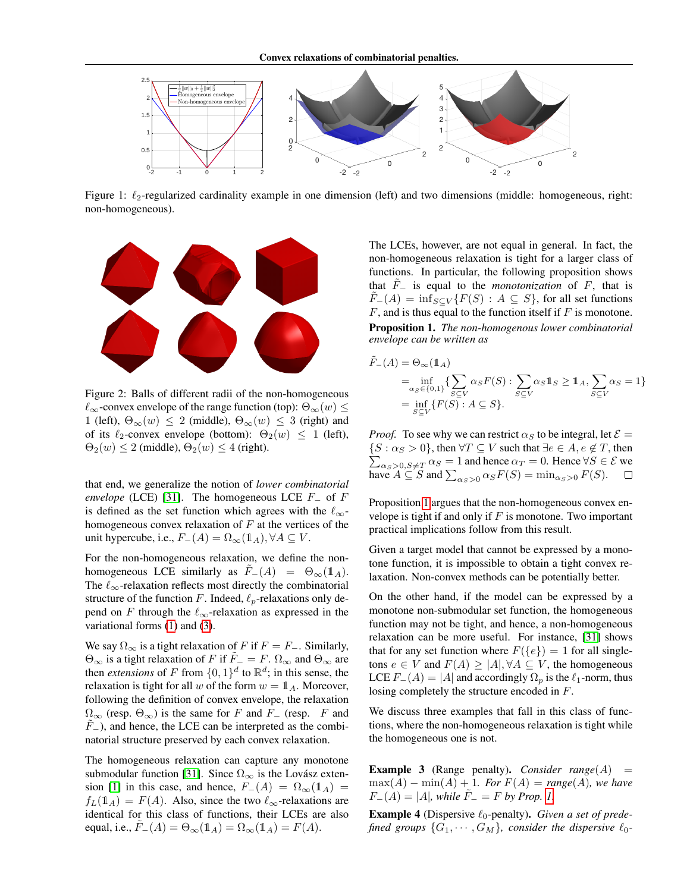

Figure 1:  $\ell_2$ -regularized cardinality example in one dimension (left) and two dimensions (middle: homogeneous, right: non-homogeneous).



Figure 2: Balls of different radii of the non-homogeneous  $\ell_{\infty}$ -convex envelope of the range function (top):  $\Theta_{\infty}(w) \leq$ 1 (left),  $\Theta_{\infty}(w) \leq 2$  (middle),  $\Theta_{\infty}(w) \leq 3$  (right) and of its  $\ell_2$ -convex envelope (bottom):  $\Theta_2(w) \leq 1$  (left),  $\Theta_2(w) \leq 2$  (middle),  $\Theta_2(w) \leq 4$  (right).

that end, we generalize the notion of *lower combinatorial envelope* (LCE) [\[31\]](#page-9-4). The homogeneous LCE  $F_$  of  $F$ is defined as the set function which agrees with the  $\ell_{\infty}$ homogeneous convex relaxation of  $F$  at the vertices of the unit hypercube, i.e.,  $F_-(A) = \Omega_\infty(\mathbb{1}_A), \forall A \subseteq V$ .

For the non-homogeneous relaxation, we define the nonhomogeneous LCE similarly as  $\tilde{F}_-(A) = \Theta_\infty(\mathbb{1}_A)$ . The  $\ell_{\infty}$ -relaxation reflects most directly the combinatorial structure of the function F. Indeed,  $\ell_p$ -relaxations only depend on F through the  $\ell_{\infty}$ -relaxation as expressed in the variational forms [\(1\)](#page-1-3) and [\(3\)](#page-2-2).

We say  $\Omega_{\infty}$  is a tight relaxation of F if  $F = F_{-}$ . Similarly,  $\Theta_{\infty}$  is a tight relaxation of F if  $\tilde{F}$  = F.  $\Omega_{\infty}$  and  $\Theta_{\infty}$  are then *extensions* of F from  $\{0,1\}^d$  to  $\mathbb{R}^d$ ; in this sense, the relaxation is tight for all w of the form  $w = \mathbb{1}_A$ . Moreover, following the definition of convex envelope, the relaxation  $\Omega_{\infty}$  (resp.  $\Theta_{\infty}$ ) is the same for F and F<sub>−</sub> (resp. F and  $F<sub>−</sub>$ ), and hence, the LCE can be interpreted as the combinatorial structure preserved by each convex relaxation.

The homogeneous relaxation can capture any monotone submodular function [\[31\]](#page-9-4). Since  $\Omega_{\infty}$  is the Lovász exten-sion [\[1\]](#page-8-5) in this case, and hence,  $F_-(A) = \Omega_\infty(\mathbb{1}_A) =$  $f_L(\mathbf{1}_A) = F(A)$ . Also, since the two  $\ell_{\infty}$ -relaxations are identical for this class of functions, their LCEs are also equal, i.e.,  $F_-(A) = \Theta_\infty(\mathbb{1}_A) = \Omega_\infty(\mathbb{1}_A) = F(A)$ .

The LCEs, however, are not equal in general. In fact, the non-homogeneous relaxation is tight for a larger class of functions. In particular, the following proposition shows that  $F_$  is equal to the *monotonization* of F, that is  $\tilde{F}_-(A) = \inf_{S \subset V} \{F(S) : A \subseteq S\}$ , for all set functions  $F$ , and is thus equal to the function itself if  $F$  is monotone. Proposition 1. *The non-homogenous lower combinatorial envelope can be written as*

<span id="page-3-0"></span>
$$
\tilde{F}_{-}(A) = \Theta_{\infty}(\mathbb{1}_{A})
$$
\n
$$
= \inf_{\alpha_{S} \in \{0,1\}} \{ \sum_{S \subseteq V} \alpha_{S} F(S) : \sum_{S \subseteq V} \alpha_{S} \mathbb{1}_{S} \ge \mathbb{1}_{A}, \sum_{S \subseteq V} \alpha_{S} = 1 \}
$$
\n
$$
= \inf_{S \subseteq V} \{ F(S) : A \subseteq S \}.
$$

*Proof.* To see why we can restrict  $\alpha_S$  to be integral, let  $\mathcal{E} =$  $\sum_{\alpha_S > 0, S \neq T} \alpha_S = 1$  and hence  $\alpha_T = 0$ . Hence  $\forall S \in \mathcal{E}$  we  $\{S : \alpha_S > 0\}$ , then  $\forall T \subseteq V$  such that  $\exists e \in A, e \notin T$ , then have  $A \subseteq S$  and  $\sum_{\alpha_S > 0} \alpha_S F(S) = \min_{\alpha_S > 0} F(S)$ .

Proposition [1](#page-3-0) argues that the non-homogeneous convex envelope is tight if and only if  $F$  is monotone. Two important practical implications follow from this result.

Given a target model that cannot be expressed by a monotone function, it is impossible to obtain a tight convex relaxation. Non-convex methods can be potentially better.

On the other hand, if the model can be expressed by a monotone non-submodular set function, the homogeneous function may not be tight, and hence, a non-homogeneous relaxation can be more useful. For instance, [\[31\]](#page-9-4) shows that for any set function where  $F({e}) = 1$  for all singletons  $e \in V$  and  $F(A) \ge |A|, \forall A \subseteq V$ , the homogeneous LCE  $F_-(A) = |A|$  and accordingly  $\Omega_p$  is the  $\ell_1$ -norm, thus losing completely the structure encoded in F.

We discuss three examples that fall in this class of functions, where the non-homogeneous relaxation is tight while the homogeneous one is not.

**Example 3** (Range penalty). *Consider range* $(A)$  =  $max(A) - min(A) + 1$ *. For*  $F(A) = range(A)$ *, we have*  $F_-(A) = |A|$ , while  $F_- = F$  by Prop. [1.](#page-3-0)

<span id="page-3-1"></span>**Example 4** (Dispersive  $\ell_0$ -penalty). *Given a set of predefined groups*  $\{G_1, \cdots, G_M\}$ *, consider the dispersive*  $\ell_0$ *-*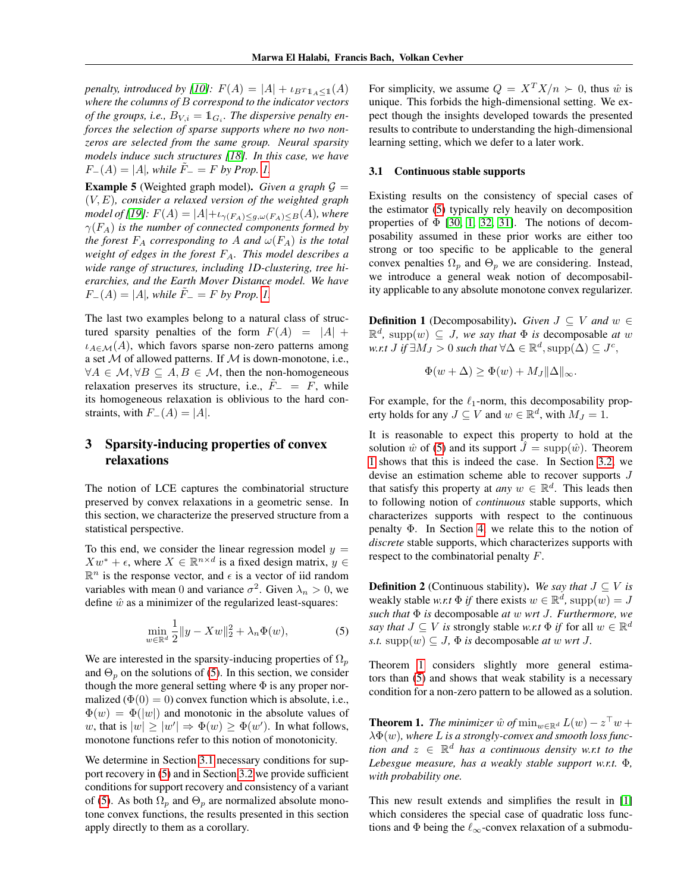*penalty, introduced by [\[10\]](#page-8-7):*  $F(A) = |A| + \iota_{B} \cdot \iota_{A} (A)$ *where the columns of* B *correspond to the indicator vectors of the groups, i.e.,*  $\overline{B}_{V,i} = \mathbb{1}_{G_i}$ *. The dispersive penalty enforces the selection of sparse supports where no two nonzeros are selected from the same group. Neural sparsity models induce such structures [\[18\]](#page-8-10). In this case, we have*  $F_-(A) = |A|$ , while  $F_-= F$  by Prop. [1.](#page-3-0)

<span id="page-4-5"></span>**Example 5** (Weighted graph model). *Given a graph*  $G =$ (V, E)*, consider a relaxed version of the weighted graph model of [\[19\]](#page-8-11):*  $F(A) = |A| + \iota_{\gamma(F_A) \leq g, \omega(F_A) \leq B(A)}$ *, where*  $\gamma(F_A)$  *is the number of connected components formed by the forest*  $F_A$  *corresponding to* A *and*  $\omega(F_A)$  *is the total weight of edges in the forest* FA*. This model describes a wide range of structures, including 1D-clustering, tree hierarchies, and the Earth Mover Distance model. We have*  $F_-(A) = |A|$ , while  $F_-= F$  by Prop. [1.](#page-3-0)

The last two examples belong to a natural class of structured sparsity penalties of the form  $F(A) = |A| +$  $i_{A \in \mathcal{M}}(A)$ , which favors sparse non-zero patterns among a set  $M$  of allowed patterns. If  $M$  is down-monotone, i.e.,  $\forall A \in \mathcal{M}, \forall B \subseteq A, B \in \mathcal{M}$ , then the non-homogeneous relaxation preserves its structure, i.e.,  $F_-\,=\,F$ , while its homogeneous relaxation is oblivious to the hard constraints, with  $F_-(A) = |A|$ .

# <span id="page-4-4"></span>3 Sparsity-inducing properties of convex relaxations

The notion of LCE captures the combinatorial structure preserved by convex relaxations in a geometric sense. In this section, we characterize the preserved structure from a statistical perspective.

To this end, we consider the linear regression model  $y =$  $Xw^* + \epsilon$ , where  $X \in \mathbb{R}^{n \times d}$  is a fixed design matrix,  $y \in$  $\mathbb{R}^n$  is the response vector, and  $\epsilon$  is a vector of iid random variables with mean 0 and variance  $\sigma^2$ . Given  $\lambda_n > 0$ , we define  $\hat{w}$  as a minimizer of the regularized least-squares:

$$
\min_{w \in \mathbb{R}^d} \frac{1}{2} \|y - Xw\|_2^2 + \lambda_n \Phi(w),\tag{5}
$$

We are interested in the sparsity-inducing properties of  $\Omega_p$ and  $\Theta_p$  on the solutions of [\(5\)](#page-4-1). In this section, we consider though the more general setting where  $\Phi$  is any proper normalized ( $\Phi(0) = 0$ ) convex function which is absolute, i.e.,  $\Phi(w) = \Phi(|w|)$  and monotonic in the absolute values of w, that is  $|w| \ge |w'| \Rightarrow \Phi(w) \ge \Phi(w')$ . In what follows, monotone functions refer to this notion of monotonicity.

We determine in Section [3.1](#page-4-0) necessary conditions for support recovery in [\(5\)](#page-4-1) and in Section [3.2](#page-5-0) we provide sufficient conditions for support recovery and consistency of a variant of [\(5\)](#page-4-1). As both  $\Omega_p$  and  $\Theta_p$  are normalized absolute monotone convex functions, the results presented in this section apply directly to them as a corollary.

For simplicity, we assume  $Q = X^T X/n \succ 0$ , thus  $\hat{w}$  is unique. This forbids the high-dimensional setting. We expect though the insights developed towards the presented results to contribute to understanding the high-dimensional learning setting, which we defer to a later work.

### <span id="page-4-0"></span>3.1 Continuous stable supports

Existing results on the consistency of special cases of the estimator [\(5\)](#page-4-1) typically rely heavily on decomposition properties of  $\Phi$  [\[30,](#page-9-10) [1,](#page-8-5) [32,](#page-9-0) [31\]](#page-9-4). The notions of decomposability assumed in these prior works are either too strong or too specific to be applicable to the general convex penalties  $\Omega_p$  and  $\Theta_p$  we are considering. Instead, we introduce a general weak notion of decomposability applicable to any absolute monotone convex regularizer.

**Definition 1** (Decomposability). *Given*  $J \subseteq V$  *and*  $w \in$  $\mathbb{R}^d$ , supp $(w) \subseteq J$ , we say that  $\Phi$  is decomposable at w w.r.t  $J$  if  $\exists M_J > 0$  such that  $\forall \Delta \in \mathbb{R}^d, \mathrm{supp}(\Delta) \subseteq J^c,$ 

$$
\Phi(w+\Delta) \ge \Phi(w) + M_J \|\Delta\|_{\infty}.
$$

For example, for the  $\ell_1$ -norm, this decomposability property holds for any  $J \subseteq V$  and  $w \in \mathbb{R}^d$ , with  $M_J = 1$ .

It is reasonable to expect this property to hold at the solution  $\hat{w}$  of [\(5\)](#page-4-1) and its support  $\hat{J} = \text{supp}(\hat{w})$ . Theorem [1](#page-4-2) shows that this is indeed the case. In Section [3.2,](#page-5-0) we devise an estimation scheme able to recover supports J that satisfy this property at *any*  $w \in \mathbb{R}^d$ . This leads then to following notion of *continuous* stable supports, which characterizes supports with respect to the continuous penalty Φ. In Section [4,](#page-5-1) we relate this to the notion of *discrete* stable supports, which characterizes supports with respect to the combinatorial penalty F.

<span id="page-4-3"></span><span id="page-4-1"></span>**Definition 2** (Continuous stability). We say that  $J \subseteq V$  is weakly stable *w.r.t*  $\Phi$  *if* there exists  $w \in \mathbb{R}^d$ , supp $(w) = J$ *such that* Φ *is* decomposable *at* w *wrt* J*. Furthermore, we say that*  $J \subseteq V$  *is* strongly stable *w.r.t*  $\Phi$  *if* for all  $w \in \mathbb{R}^d$ *s.t.* supp $(w) \subseteq J$ ,  $\Phi$  *is* decomposable *at* w *wrt J*.

Theorem [1](#page-4-2) considers slightly more general estimators than [\(5\)](#page-4-1) and shows that weak stability is a necessary condition for a non-zero pattern to be allowed as a solution.

<span id="page-4-2"></span>**Theorem 1.** *The minimizer*  $\hat{w}$  *of*  $\min_{w \in \mathbb{R}^d} L(w) - z^{\top} w +$ λΦ(w)*, where* L *is a strongly-convex and smooth loss function and* z ∈ R <sup>d</sup> *has a continuous density w.r.t to the Lebesgue measure, has a weakly stable support w.r.t.* Φ*, with probability one.*

This new result extends and simplifies the result in [\[1\]](#page-8-5) which consideres the special case of quadratic loss functions and  $\Phi$  being the  $\ell_\infty$ -convex relaxation of a submodu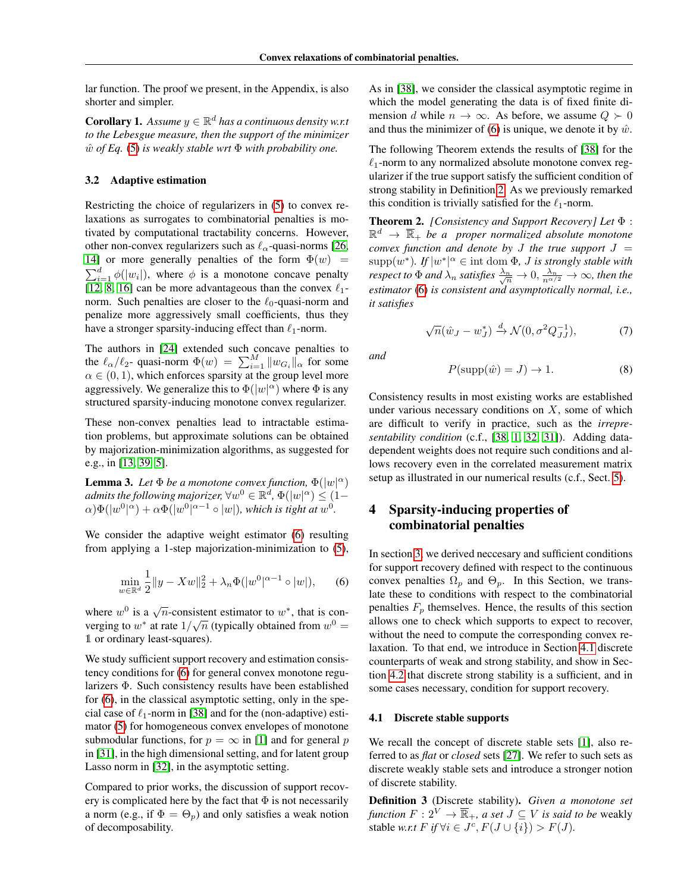lar function. The proof we present, in the Appendix, is also shorter and simpler.

**Corollary 1.** Assume  $y \in \mathbb{R}^d$  has a continuous density w.r.t *to the Lebesgue measure, then the support of the minimizer* wˆ *of Eq.* [\(5\)](#page-4-1) *is weakly stable wrt* Φ *with probability one.*

### <span id="page-5-0"></span>3.2 Adaptive estimation

Restricting the choice of regularizers in [\(5\)](#page-4-1) to convex relaxations as surrogates to combinatorial penalties is motivated by computational tractability concerns. However, other non-convex regularizers such as  $\ell_{\alpha}$ -quasi-norms [\[26,](#page-9-11) [14\]](#page-8-12) or more generally penalties of the form  $\Phi(w)$  =  $\sum_{i=1}^{d} \phi(|w_i|)$ , where  $\phi$  is a monotone concave penalty [\[12,](#page-8-13) [8,](#page-8-14) [16\]](#page-8-15) can be more advantageous than the convex  $\ell_1$ norm. Such penalties are closer to the  $\ell_0$ -quasi-norm and penalize more aggressively small coefficients, thus they have a stronger sparsity-inducing effect than  $\ell_1$ -norm.

The authors in [\[24\]](#page-9-5) extended such concave penalties to the  $\ell_{\alpha}/\ell_2$ - quasi-norm  $\Phi(w) = \sum_{i=1}^{M} ||w_{G_i}||_{\alpha}$  for some  $\alpha \in (0, 1)$ , which enforces sparsity at the group level more aggressively. We generalize this to  $\Phi(|w|^\alpha)$  where  $\Phi$  is any structured sparsity-inducing monotone convex regularizer.

These non-convex penalties lead to intractable estimation problems, but approximate solutions can be obtained by majorization-minimization algorithms, as suggested for e.g., in [\[13,](#page-8-16) [39,](#page-9-12) [5\]](#page-8-17).

**Lemma 3.** Let  $\Phi$  be a monotone convex function,  $\Phi(|w|^{\alpha})$ admits the following majorizer,  $\forall w^0 \in \mathbb{R}^d$ ,  $\Phi(|w|^\alpha) \leq (1-\alpha)$  $\alpha$ ) $\Phi(|w^0|^\alpha) + \alpha \Phi(|w^0|^{\alpha-1} \circ |w|)$ , which is tight at  $w^0$ .

<span id="page-5-2"></span>We consider the adaptive weight estimator [\(6\)](#page-5-2) resulting from applying a 1-step majorization-minimization to [\(5\)](#page-4-1),

$$
\min_{w \in \mathbb{R}^d} \frac{1}{2} \|y - Xw\|_2^2 + \lambda_n \Phi(|w^0|^{\alpha - 1} \circ |w|), \qquad (6)
$$

where  $w^0$  is a  $\sqrt{n}$ -consistent estimator to  $w^*$ , that is converging to  $w^*$  at rate  $1/\sqrt{n}$  (typically obtained from  $w^0 =$ 1 or ordinary least-squares).

We study sufficient support recovery and estimation consistency conditions for [\(6\)](#page-5-2) for general convex monotone regularizers Φ. Such consistency results have been established for [\(6\)](#page-5-2), in the classical asymptotic setting, only in the special case of  $\ell_1$ -norm in [\[38\]](#page-9-13) and for the (non-adaptive) estimator [\(5\)](#page-4-1) for homogeneous convex envelopes of monotone submodular functions, for  $p = \infty$  in [\[1\]](#page-8-5) and for general p in [\[31\]](#page-9-4), in the high dimensional setting, and for latent group Lasso norm in [\[32\]](#page-9-0), in the asymptotic setting.

Compared to prior works, the discussion of support recovery is complicated here by the fact that  $\Phi$  is not necessarily a norm (e.g., if  $\Phi = \Theta_p$ ) and only satisfies a weak notion of decomposability.

As in [\[38\]](#page-9-13), we consider the classical asymptotic regime in which the model generating the data is of fixed finite dimension d while  $n \to \infty$ . As before, we assume  $Q \succ 0$ and thus the minimizer of [\(6\)](#page-5-2) is unique, we denote it by  $\hat{w}$ .

The following Theorem extends the results of [\[38\]](#page-9-13) for the  $\ell_1$ -norm to any normalized absolute monotone convex regularizer if the true support satisfy the sufficient condition of strong stability in Definition [2.](#page-4-3) As we previously remarked this condition is trivially satisfied for the  $\ell_1$ -norm.

<span id="page-5-4"></span>Theorem 2. *[Consistency and Support Recovery] Let* Φ :  $\mathbb{R}^d$   $\rightarrow$   $\overline{\mathbb{R}}_+$  *be a proper normalized absolute monotone convex function and denote by*  $J$  *the true support*  $J =$  $\text{supp}(w^*)$ . If  $|w^*|^\alpha \in \text{int dom }\Phi$ , *J is strongly stable with respect to*  $\Phi$  *and*  $\lambda_n$  *satisfies*  $\frac{\lambda_n}{\sqrt{n}} \to 0$ ,  $\frac{\lambda_n}{n^{\alpha/2}} \to \infty$ *, then the estimator* [\(6\)](#page-5-2) *is consistent and asymptotically normal, i.e., it satisfies*

$$
\sqrt{n}(\hat{w}_J - w_J^*) \xrightarrow{d} \mathcal{N}(0, \sigma^2 Q_{JJ}^{-1}),\tag{7}
$$

*and*

$$
P(\text{supp}(\hat{w}) = J) \to 1. \tag{8}
$$

Consistency results in most existing works are established under various necessary conditions on  $X$ , some of which are difficult to verify in practice, such as the *irrepresentability condition* (c.f., [\[38,](#page-9-13) [1,](#page-8-5) [32,](#page-9-0) [31\]](#page-9-4)). Adding datadependent weights does not require such conditions and allows recovery even in the correlated measurement matrix setup as illustrated in our numerical results (c.f., Sect. [5\)](#page-7-0).

# <span id="page-5-1"></span>4 Sparsity-inducing properties of combinatorial penalties

In section [3,](#page-4-4) we derived neccesary and sufficient conditions for support recovery defined with respect to the continuous convex penalties  $\Omega_p$  and  $\Theta_p$ . In this Section, we translate these to conditions with respect to the combinatorial penalties  $F_p$  themselves. Hence, the results of this section allows one to check which supports to expect to recover, without the need to compute the corresponding convex relaxation. To that end, we introduce in Section [4.1](#page-5-3) discrete counterparts of weak and strong stability, and show in Section [4.2](#page-6-0) that discrete strong stability is a sufficient, and in some cases necessary, condition for support recovery.

### <span id="page-5-3"></span>4.1 Discrete stable supports

We recall the concept of discrete stable sets [\[1\]](#page-8-5), also referred to as *flat* or *closed* sets [\[27\]](#page-9-14). We refer to such sets as discrete weakly stable sets and introduce a stronger notion of discrete stability.

Definition 3 (Discrete stability). *Given a monotone set function*  $F: 2^V \to \overline{\mathbb{R}}_+$ *, a set*  $J \subset V$  *is said to be* weakly stable *w.r.t*  $F$  *if*  $\forall i \in J^c$ ,  $F(J \cup \{i\}) > F(J)$ *.*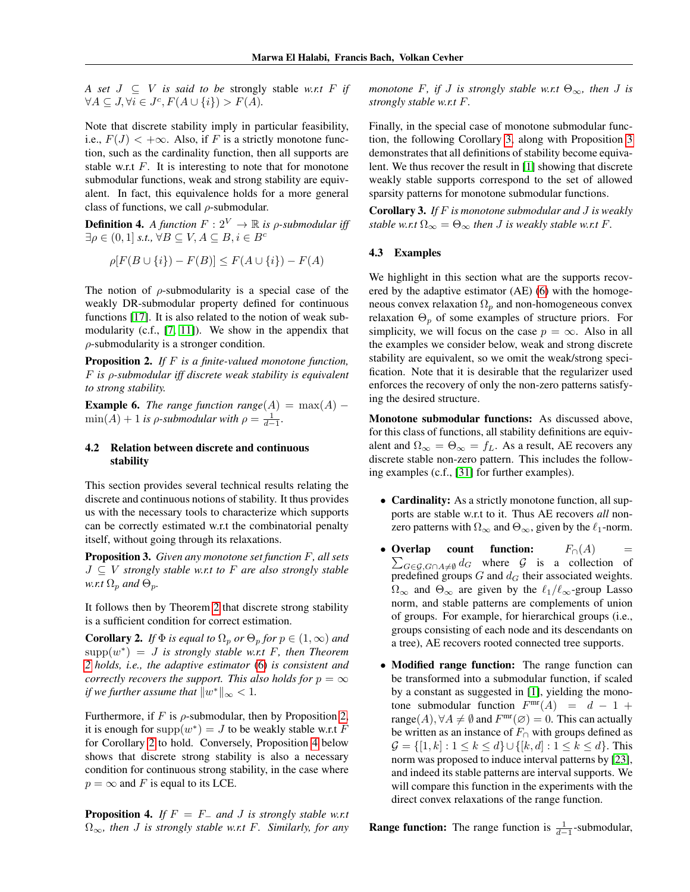*A set*  $J \subseteq V$  *is said to be strongly stable w.r.t*  $F$  *if*  $\forall A \subseteq J, \forall i \in J^c, F(A \cup \{i\}) > F(A).$ 

Note that discrete stability imply in particular feasibility, i.e.,  $F(J) < +\infty$ . Also, if F is a strictly monotone function, such as the cardinality function, then all supports are stable w.r.t  $F$ . It is interesting to note that for monotone submodular functions, weak and strong stability are equivalent. In fact, this equivalence holds for a more general class of functions, we call  $\rho$ -submodular.

**Definition 4.** *A function*  $F: 2^V \rightarrow \mathbb{R}$  *is*  $\rho$ *-submodular iff*  $\exists \rho \in (0,1] \text{ s.t., } \forall B \subseteq V, A \subseteq B, i \in B^c$ 

$$
\rho[F(B \cup \{i\}) - F(B)] \le F(A \cup \{i\}) - F(A)
$$

The notion of  $\rho$ -submodularity is a special case of the weakly DR-submodular property defined for continuous functions [\[17\]](#page-8-18). It is also related to the notion of weak submodularity (c.f., [\[7,](#page-8-19) [11\]](#page-8-20)). We show in the appendix that  $\rho$ -submodularity is a stronger condition.

<span id="page-6-1"></span>Proposition 2. *If* F *is a finite-valued monotone function,* F *is* ρ*-submodular iff discrete weak stability is equivalent to strong stability.*

**Example 6.** *The range function range* $(A) = \max(A) \min(A) + 1$  *is*  $\rho$ *-submodular with*  $\rho = \frac{1}{d-1}$ *.* 

### <span id="page-6-0"></span>4.2 Relation between discrete and continuous stability

This section provides several technical results relating the discrete and continuous notions of stability. It thus provides us with the necessary tools to characterize which supports can be correctly estimated w.r.t the combinatorial penalty itself, without going through its relaxations.

<span id="page-6-5"></span>Proposition 3. *Given any monotone set function* F*, all sets* J ⊆ V *strongly stable w.r.t to* F *are also strongly stable w.r.t*  $\Omega_p$  *and*  $\Theta_p$ *.* 

It follows then by Theorem [2](#page-5-4) that discrete strong stability is a sufficient condition for correct estimation.

<span id="page-6-2"></span>**Corollary 2.** *If*  $\Phi$  *is equal to*  $\Omega_p$  *or*  $\Theta_p$  *for*  $p \in (1, \infty)$  *and*  $supp(w^*) = J$  *is strongly stable w.r.t F, then Theorem [2](#page-5-4) holds, i.e., the adaptive estimator* [\(6\)](#page-5-2) *is consistent and correctly recovers the support. This also holds for*  $p = \infty$ *if we further assume that*  $||w^*||_{\infty} < 1$ .

Furthermore, if F is  $\rho$ -submodular, then by Proposition [2,](#page-6-1) it is enough for  $\text{supp}(w^*) = J$  to be weakly stable w.r.t F for Corollary [2](#page-6-2) to hold. Conversely, Proposition [4](#page-6-3) below shows that discrete strong stability is also a necessary condition for continuous strong stability, in the case where  $p = \infty$  and F is equal to its LCE.

<span id="page-6-3"></span>**Proposition 4.** *If*  $F = F_$  *and J is strongly stable w.r.t* Ω∞*, then* J *is strongly stable w.r.t* F*. Similarly, for any* *monotone* F, if J is strongly stable w.r.t  $\Theta_{\infty}$ , then J is *strongly stable w.r.t* F*.*

Finally, in the special case of monotone submodular function, the following Corollary [3,](#page-6-4) along with Proposition [3](#page-6-5) demonstrates that all definitions of stability become equivalent. We thus recover the result in [\[1\]](#page-8-5) showing that discrete weakly stable supports correspond to the set of allowed sparsity patterns for monotone submodular functions.

<span id="page-6-4"></span>Corollary 3. *If* F *is monotone submodular and* J *is weakly stable w.r.t*  $\Omega_{\infty} = \Theta_{\infty}$  *then J is weakly stable w.r.t F*.

### <span id="page-6-6"></span>4.3 Examples

We highlight in this section what are the supports recovered by the adaptive estimator (AE) [\(6\)](#page-5-2) with the homogeneous convex relaxation  $\Omega_p$  and non-homogeneous convex relaxation  $\Theta_p$  of some examples of structure priors. For simplicity, we will focus on the case  $p = \infty$ . Also in all the examples we consider below, weak and strong discrete stability are equivalent, so we omit the weak/strong specification. Note that it is desirable that the regularizer used enforces the recovery of only the non-zero patterns satisfying the desired structure.

Monotone submodular functions: As discussed above, for this class of functions, all stability definitions are equivalent and  $\Omega_{\infty} = \Theta_{\infty} = f_L$ . As a result, AE recovers any discrete stable non-zero pattern. This includes the following examples (c.f., [\[31\]](#page-9-4) for further examples).

- Cardinality: As a strictly monotone function, all supports are stable w.r.t to it. Thus AE recovers *all* nonzero patterns with  $\Omega_{\infty}$  and  $\Theta_{\infty}$ , given by the  $\ell_1$ -norm.
- Overlap  $\sum_{G \in \mathcal{G}, G \cap A \neq \emptyset} d_G$  where  $\mathcal{G}$  is a collection of **count function:**  $F_∩(A)$  = predefined groups  $G$  and  $d_G$  their associated weights.  $\Omega_{\infty}$  and  $\Theta_{\infty}$  are given by the  $\ell_1/\ell_{\infty}$ -group Lasso norm, and stable patterns are complements of union of groups. For example, for hierarchical groups (i.e., groups consisting of each node and its descendants on a tree), AE recovers rooted connected tree supports.
- Modified range function: The range function can be transformed into a submodular function, if scaled by a constant as suggested in [\[1\]](#page-8-5), yielding the monotone submodular function  $F^{\text{mr}}(A) = d - 1 +$ range $(A)$ ,  $\forall A \neq \emptyset$  and  $F^{\text{mr}}(\emptyset) = 0$ . This can actually be written as an instance of  $F<sub>∩</sub>$  with groups defined as  $\mathcal{G} = \{ [1, k] : 1 \leq k \leq d \} \cup \{ [k, d] : 1 \leq k \leq d \}.$  This norm was proposed to induce interval patterns by [\[23\]](#page-9-3), and indeed its stable patterns are interval supports. We will compare this function in the experiments with the direct convex relaxations of the range function.

**Range function:** The range function is  $\frac{1}{d-1}$ -submodular,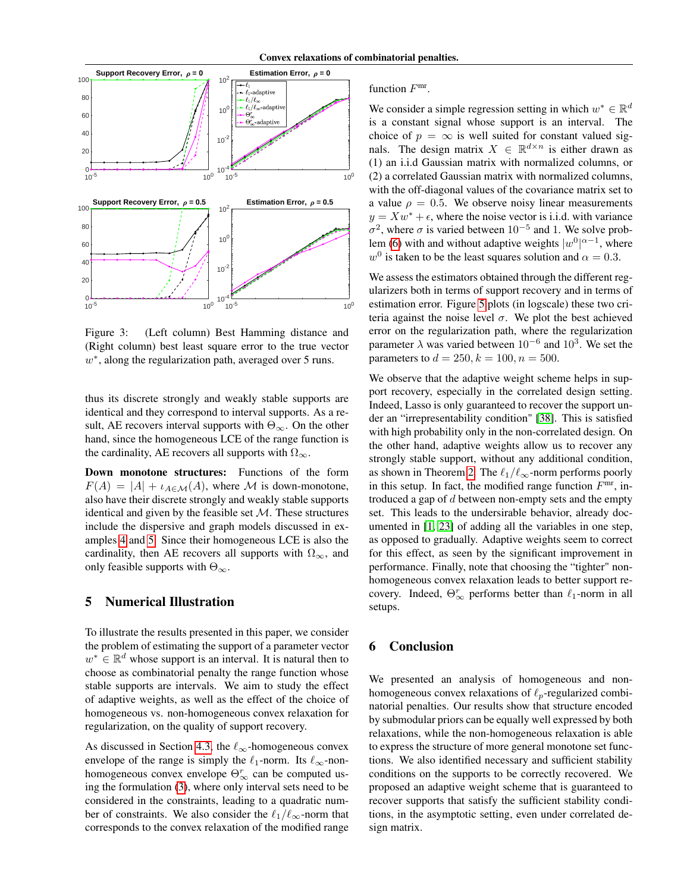

Figure 3: (Left column) Best Hamming distance and (Right column) best least square error to the true vector  $w^*$ , along the regularization path, averaged over 5 runs.

thus its discrete strongly and weakly stable supports are identical and they correspond to interval supports. As a result, AE recovers interval supports with  $\Theta_{\infty}$ . On the other hand, since the homogeneous LCE of the range function is the cardinality, AE recovers all supports with  $\Omega_{\infty}$ .

Down monotone structures: Functions of the form  $F(A) = |A| + \iota_{A \in \mathcal{M}}(A)$ , where M is down-monotone, also have their discrete strongly and weakly stable supports identical and given by the feasible set  $M$ . These structures include the dispersive and graph models discussed in examples [4](#page-3-1) and [5.](#page-4-5) Since their homogeneous LCE is also the cardinality, then AE recovers all supports with  $\Omega_{\infty}$ , and only feasible supports with  $\Theta_{\infty}$ .

## <span id="page-7-0"></span>5 Numerical Illustration

To illustrate the results presented in this paper, we consider the problem of estimating the support of a parameter vector  $w^* \in \mathbb{R}^d$  whose support is an interval. It is natural then to choose as combinatorial penalty the range function whose stable supports are intervals. We aim to study the effect of adaptive weights, as well as the effect of the choice of homogeneous vs. non-homogeneous convex relaxation for regularization, on the quality of support recovery.

As discussed in Section [4.3,](#page-6-6) the  $\ell_{\infty}$ -homogeneous convex envelope of the range is simply the  $\ell_1$ -norm. Its  $\ell_{\infty}$ -nonhomogeneous convex envelope  $\Theta_{\infty}^r$  can be computed using the formulation [\(3\)](#page-2-2), where only interval sets need to be considered in the constraints, leading to a quadratic number of constraints. We also consider the  $\ell_1/\ell_\infty$ -norm that corresponds to the convex relaxation of the modified range

### function  $F^{\text{mr}}$ .

We consider a simple regression setting in which  $w^* \in \mathbb{R}^d$ is a constant signal whose support is an interval. The choice of  $p = \infty$  is well suited for constant valued signals. The design matrix  $X \in \mathbb{R}^{d \times n}$  is either drawn as (1) an i.i.d Gaussian matrix with normalized columns, or (2) a correlated Gaussian matrix with normalized columns, with the off-diagonal values of the covariance matrix set to a value  $\rho = 0.5$ . We observe noisy linear measurements  $y = Xw^* + \epsilon$ , where the noise vector is i.i.d. with variance  $\sigma^2$ , where  $\sigma$  is varied between  $10^{-5}$  and 1. We solve prob-lem [\(6\)](#page-5-2) with and without adaptive weights  $|w^0|^{\alpha-1}$ , where  $w^0$  is taken to be the least squares solution and  $\alpha = 0.3$ .

We assess the estimators obtained through the different regularizers both in terms of support recovery and in terms of estimation error. Figure [5](#page-7-0) plots (in logscale) these two criteria against the noise level  $\sigma$ . We plot the best achieved error on the regularization path, where the regularization parameter  $\lambda$  was varied between  $10^{-6}$  and  $10^3$ . We set the parameters to  $d = 250, k = 100, n = 500$ .

We observe that the adaptive weight scheme helps in support recovery, especially in the correlated design setting. Indeed, Lasso is only guaranteed to recover the support under an "irrepresentability condition" [\[38\]](#page-9-13). This is satisfied with high probability only in the non-correlated design. On the other hand, adaptive weights allow us to recover any strongly stable support, without any additional condition, as shown in Theorem [2.](#page-5-4) The  $\ell_1/\ell_\infty$ -norm performs poorly in this setup. In fact, the modified range function  $F<sup>mr</sup>$ , introduced a gap of  $d$  between non-empty sets and the empty set. This leads to the undersirable behavior, already documented in [\[1,](#page-8-5) [23\]](#page-9-3) of adding all the variables in one step, as opposed to gradually. Adaptive weights seem to correct for this effect, as seen by the significant improvement in performance. Finally, note that choosing the "tighter" nonhomogeneous convex relaxation leads to better support recovery. Indeed,  $\Theta_{\infty}^r$  performs better than  $\ell_1$ -norm in all setups.

# 6 Conclusion

We presented an analysis of homogeneous and nonhomogeneous convex relaxations of  $\ell_p$ -regularized combinatorial penalties. Our results show that structure encoded by submodular priors can be equally well expressed by both relaxations, while the non-homogeneous relaxation is able to express the structure of more general monotone set functions. We also identified necessary and sufficient stability conditions on the supports to be correctly recovered. We proposed an adaptive weight scheme that is guaranteed to recover supports that satisfy the sufficient stability conditions, in the asymptotic setting, even under correlated design matrix.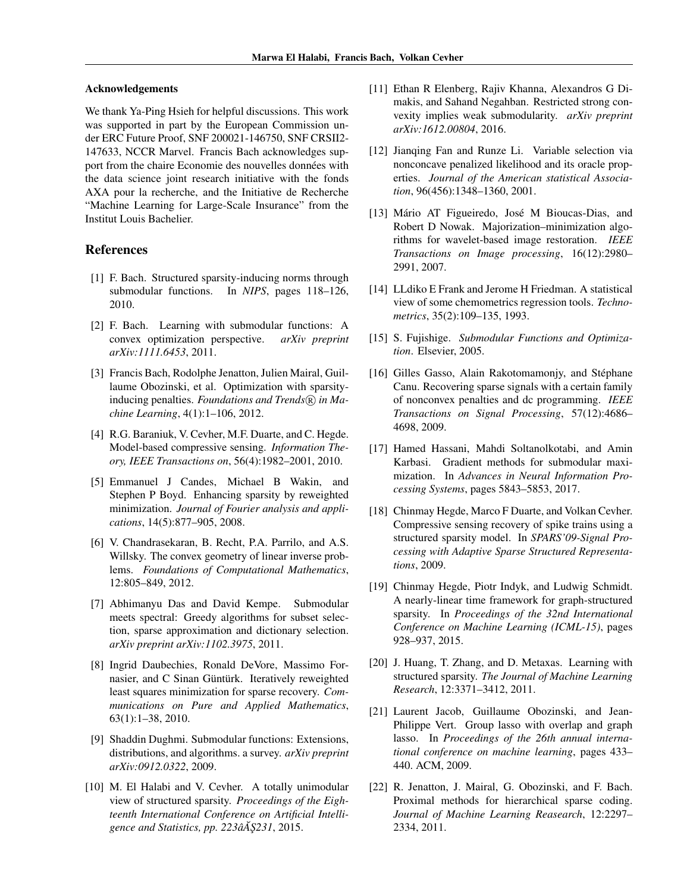### Acknowledgements

We thank Ya-Ping Hsieh for helpful discussions. This work was supported in part by the European Commission under ERC Future Proof, SNF 200021-146750, SNF CRSII2- 147633, NCCR Marvel. Francis Bach acknowledges support from the chaire Economie des nouvelles données with the data science joint research initiative with the fonds AXA pour la recherche, and the Initiative de Recherche "Machine Learning for Large-Scale Insurance" from the Institut Louis Bachelier.

## References

- <span id="page-8-5"></span>[1] F. Bach. Structured sparsity-inducing norms through submodular functions. In *NIPS*, pages 118–126, 2010.
- <span id="page-8-4"></span>[2] F. Bach. Learning with submodular functions: A convex optimization perspective. *arXiv preprint arXiv:1111.6453*, 2011.
- <span id="page-8-9"></span>[3] Francis Bach, Rodolphe Jenatton, Julien Mairal, Guillaume Obozinski, et al. Optimization with sparsityinducing penalties. *Foundations and Trends*( $\overline{R}$ ) *in Machine Learning*, 4(1):1–106, 2012.
- <span id="page-8-2"></span>[4] R.G. Baraniuk, V. Cevher, M.F. Duarte, and C. Hegde. Model-based compressive sensing. *Information Theory, IEEE Transactions on*, 56(4):1982–2001, 2010.
- <span id="page-8-17"></span>[5] Emmanuel J Candes, Michael B Wakin, and Stephen P Boyd. Enhancing sparsity by reweighted minimization. *Journal of Fourier analysis and applications*, 14(5):877–905, 2008.
- <span id="page-8-6"></span>[6] V. Chandrasekaran, B. Recht, P.A. Parrilo, and A.S. Willsky. The convex geometry of linear inverse problems. *Foundations of Computational Mathematics*, 12:805–849, 2012.
- <span id="page-8-19"></span>[7] Abhimanyu Das and David Kempe. Submodular meets spectral: Greedy algorithms for subset selection, sparse approximation and dictionary selection. *arXiv preprint arXiv:1102.3975*, 2011.
- <span id="page-8-14"></span>[8] Ingrid Daubechies, Ronald DeVore, Massimo Fornasier, and C Sinan Güntürk. Iteratively reweighted least squares minimization for sparse recovery. *Communications on Pure and Applied Mathematics*, 63(1):1–38, 2010.
- [9] Shaddin Dughmi. Submodular functions: Extensions, distributions, and algorithms. a survey. *arXiv preprint arXiv:0912.0322*, 2009.
- <span id="page-8-7"></span>[10] M. El Halabi and V. Cevher. A totally unimodular view of structured sparsity. *Proceedings of the Eighteenth International Conference on Artificial Intelligence and Statistics, pp. 223âA ¸S231 ˘* , 2015.
- <span id="page-8-20"></span>[11] Ethan R Elenberg, Rajiv Khanna, Alexandros G Dimakis, and Sahand Negahban. Restricted strong convexity implies weak submodularity. *arXiv preprint arXiv:1612.00804*, 2016.
- <span id="page-8-13"></span>[12] Jianqing Fan and Runze Li. Variable selection via nonconcave penalized likelihood and its oracle properties. *Journal of the American statistical Association*, 96(456):1348–1360, 2001.
- <span id="page-8-16"></span>[13] Mário AT Figueiredo, José M Bioucas-Dias, and Robert D Nowak. Majorization–minimization algorithms for wavelet-based image restoration. *IEEE Transactions on Image processing*, 16(12):2980– 2991, 2007.
- <span id="page-8-12"></span>[14] LLdiko E Frank and Jerome H Friedman. A statistical view of some chemometrics regression tools. *Technometrics*, 35(2):109–135, 1993.
- <span id="page-8-8"></span>[15] S. Fujishige. *Submodular Functions and Optimization*. Elsevier, 2005.
- <span id="page-8-15"></span>[16] Gilles Gasso, Alain Rakotomamonjy, and Stéphane Canu. Recovering sparse signals with a certain family of nonconvex penalties and dc programming. *IEEE Transactions on Signal Processing*, 57(12):4686– 4698, 2009.
- <span id="page-8-18"></span>[17] Hamed Hassani, Mahdi Soltanolkotabi, and Amin Karbasi. Gradient methods for submodular maximization. In *Advances in Neural Information Processing Systems*, pages 5843–5853, 2017.
- <span id="page-8-10"></span>[18] Chinmay Hegde, Marco F Duarte, and Volkan Cevher. Compressive sensing recovery of spike trains using a structured sparsity model. In *SPARS'09-Signal Processing with Adaptive Sparse Structured Representations*, 2009.
- <span id="page-8-11"></span>[19] Chinmay Hegde, Piotr Indyk, and Ludwig Schmidt. A nearly-linear time framework for graph-structured sparsity. In *Proceedings of the 32nd International Conference on Machine Learning (ICML-15)*, pages 928–937, 2015.
- <span id="page-8-3"></span>[20] J. Huang, T. Zhang, and D. Metaxas. Learning with structured sparsity. *The Journal of Machine Learning Research*, 12:3371–3412, 2011.
- <span id="page-8-0"></span>[21] Laurent Jacob, Guillaume Obozinski, and Jean-Philippe Vert. Group lasso with overlap and graph lasso. In *Proceedings of the 26th annual international conference on machine learning*, pages 433– 440. ACM, 2009.
- <span id="page-8-1"></span>[22] R. Jenatton, J. Mairal, G. Obozinski, and F. Bach. Proximal methods for hierarchical sparse coding. *Journal of Machine Learning Reasearch*, 12:2297– 2334, 2011.